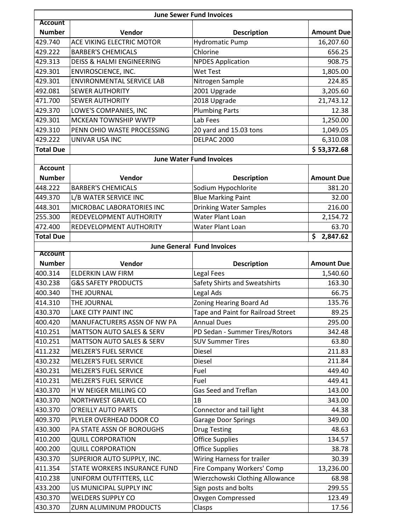|                    | <b>June Sewer Fund Invoices</b>      |                                                          |                   |  |  |
|--------------------|--------------------------------------|----------------------------------------------------------|-------------------|--|--|
| <b>Account</b>     |                                      |                                                          |                   |  |  |
| <b>Number</b>      | Vendor                               | <b>Description</b>                                       | <b>Amount Due</b> |  |  |
| 429.740            | ACE VIKING ELECTRIC MOTOR            | <b>Hydromatic Pump</b>                                   | 16,207.60         |  |  |
| 429.222            | <b>BARBER'S CHEMICALS</b>            | Chlorine                                                 | 656.25            |  |  |
| 429.313            | <b>DEISS &amp; HALMI ENGINEERING</b> | <b>NPDES Application</b>                                 | 908.75            |  |  |
| 429.301            | ENVIROSCIENCE, INC.                  | <b>Wet Test</b>                                          | 1,805.00          |  |  |
| 429.301            | <b>ENVIRONMENTAL SERVICE LAB</b>     | Nitrogen Sample                                          | 224.85            |  |  |
| 492.081            | <b>SEWER AUTHORITY</b>               | 2001 Upgrade                                             | 3,205.60          |  |  |
| 471.700            | <b>SEWER AUTHORITY</b>               | 2018 Upgrade                                             | 21,743.12         |  |  |
| 429.370            | LOWE'S COMPANIES, INC                | <b>Plumbing Parts</b>                                    | 12.38             |  |  |
| 429.301            | MCKEAN TOWNSHIP WWTP                 | Lab Fees                                                 | 1,250.00          |  |  |
| 429.310            | PENN OHIO WASTE PROCESSING           | 20 yard and 15.03 tons                                   | 1,049.05          |  |  |
| 429.222            | UNIVAR USA INC                       | DELPAC 2000                                              | 6,310.08          |  |  |
| <b>Total Due</b>   |                                      |                                                          | \$53,372.68       |  |  |
|                    |                                      | <b>June Water Fund Invoices</b>                          |                   |  |  |
| <b>Account</b>     |                                      |                                                          |                   |  |  |
| <b>Number</b>      | Vendor                               | <b>Description</b>                                       | <b>Amount Due</b> |  |  |
| 448.222            | <b>BARBER'S CHEMICALS</b>            | Sodium Hypochlorite                                      | 381.20            |  |  |
| 449.370            | L/B WATER SERVICE INC                | <b>Blue Marking Paint</b>                                | 32.00             |  |  |
| 448.301            | MICROBAC LABORATORIES INC            | <b>Drinking Water Samples</b>                            | 216.00            |  |  |
| 255.300            | REDEVELOPMENT AUTHORITY              | Water Plant Loan                                         | 2,154.72          |  |  |
| 472.400            | REDEVELOPMENT AUTHORITY              | Water Plant Loan                                         | 63.70             |  |  |
| <b>Total Due</b>   |                                      |                                                          | \$<br>2,847.62    |  |  |
|                    |                                      | <b>June General Fund Invoices</b>                        |                   |  |  |
| <b>Account</b>     |                                      |                                                          |                   |  |  |
| <b>Number</b>      | Vendor                               | <b>Description</b>                                       | <b>Amount Due</b> |  |  |
| 400.314<br>430.238 | <b>ELDERKIN LAW FIRM</b>             | Legal Fees                                               | 1,540.60          |  |  |
|                    | <b>G&amp;S SAFETY PRODUCTS</b>       | Safety Shirts and Sweatshirts                            | 163.30            |  |  |
| 400.340            | THE JOURNAL                          | Legal Ads                                                | 66.75             |  |  |
| 414.310            | THE JOURNAL                          | Zoning Hearing Board Ad                                  | 135.76            |  |  |
| 430.370            | LAKE CITY PAINT INC                  | Tape and Paint for Railroad Street<br><b>Annual Dues</b> | 89.25             |  |  |
| 400.420            | MANUFACTURERS ASSN OF NW PA          |                                                          | 295.00            |  |  |
| 410.251            | <b>MATTSON AUTO SALES &amp; SERV</b> | PD Sedan - Summer Tires/Rotors                           | 342.48            |  |  |
| 410.251            | <b>MATTSON AUTO SALES &amp; SERV</b> | <b>SUV Summer Tires</b>                                  | 63.80             |  |  |
| 411.232            | <b>MELZER'S FUEL SERVICE</b>         | Diesel                                                   | 211.83            |  |  |
| 430.232            | MELZER'S FUEL SERVICE                | Diesel                                                   | 211.84            |  |  |
| 430.231            | <b>MELZER'S FUEL SERVICE</b>         | Fuel                                                     | 449.40            |  |  |
| 410.231            | <b>MELZER'S FUEL SERVICE</b>         | Fuel                                                     | 449.41            |  |  |
| 430.370            | H W NEIGER MILLING CO                | Gas Seed and Treflan                                     | 143.00            |  |  |
| 430.370            | NORTHWEST GRAVEL CO                  | 1B                                                       | 343.00            |  |  |
| 430.370            | O'REILLY AUTO PARTS                  | Connector and tail light                                 | 44.38             |  |  |
| 409.370            | PLYLER OVERHEAD DOOR CO              | <b>Garage Door Springs</b>                               | 349.00            |  |  |
| 430.300            | PA STATE ASSN OF BOROUGHS            | <b>Drug Testing</b>                                      | 48.63             |  |  |
| 410.200            | <b>QUILL CORPORATION</b>             | <b>Office Supplies</b>                                   | 134.57            |  |  |
| 400.200            | <b>QUILL CORPORATION</b>             | <b>Office Supplies</b>                                   | 38.78             |  |  |
| 430.370            | SUPERIOR AUTO SUPPLY, INC.           | Wiring Harness for trailer                               | 30.39             |  |  |
| 411.354            | STATE WORKERS INSURANCE FUND         | Fire Company Workers' Comp                               | 13,236.00         |  |  |
| 410.238            | UNIFORM OUTFITTERS, LLC              | Wierzchowski Clothing Allowance                          | 68.98             |  |  |
| 433.200            | US MUNICIPAL SUPPLY INC              | Sign posts and bolts                                     | 299.55            |  |  |
| 430.370            | <b>WELDERS SUPPLY CO</b>             | Oxygen Compressed                                        | 123.49            |  |  |
| 430.370            | ZURN ALUMINUM PRODUCTS               | Clasps                                                   | 17.56             |  |  |